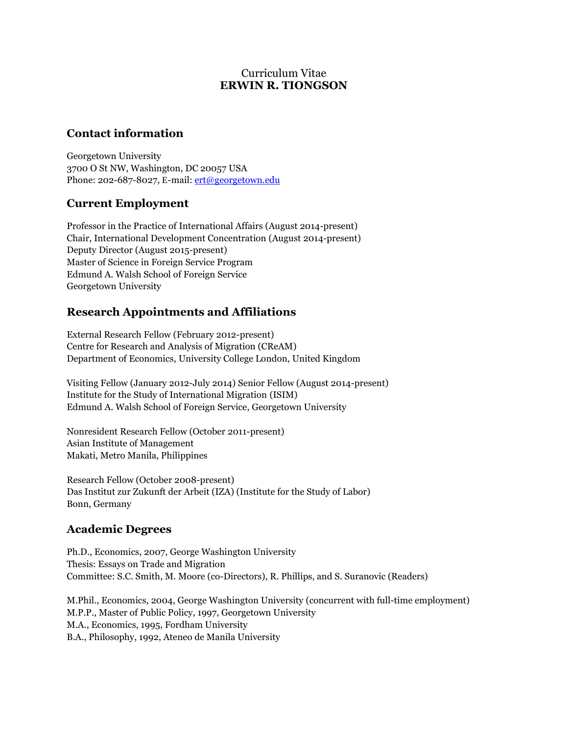## Curriculum Vitae **ERWIN R. TIONGSON**

## **Contact information**

Georgetown University 3700 O St NW, Washington, DC 20057 USA Phone: 202-687-8027, E-mail: [ert@georgetown.edu](mailto:ert@georgetown.edu)

# **Current Employment**

Professor in the Practice of International Affairs (August 2014-present) Chair, International Development Concentration (August 2014-present) Deputy Director (August 2015-present) Master of Science in Foreign Service Program Edmund A. Walsh School of Foreign Service Georgetown University

# **Research Appointments and Affiliations**

External Research Fellow (February 2012-present) Centre for Research and Analysis of Migration (CReAM) Department of Economics, University College London, United Kingdom

Visiting Fellow (January 2012-July 2014) Senior Fellow (August 2014-present) Institute for the Study of International Migration (ISIM) Edmund A. Walsh School of Foreign Service, Georgetown University

Nonresident Research Fellow (October 2011-present) Asian Institute of Management Makati, Metro Manila, Philippines

Research Fellow (October 2008-present) Das Institut zur Zukunft der Arbeit (IZA) (Institute for the Study of Labor) Bonn, Germany

# **Academic Degrees**

Ph.D., Economics, 2007, George Washington University Thesis: Essays on Trade and Migration Committee: S.C. Smith, M. Moore (co-Directors), R. Phillips, and S. Suranovic (Readers)

M.Phil., Economics, 2004, George Washington University (concurrent with full-time employment) M.P.P., Master of Public Policy, 1997, Georgetown University M.A., Economics, 1995, Fordham University B.A., Philosophy, 1992, Ateneo de Manila University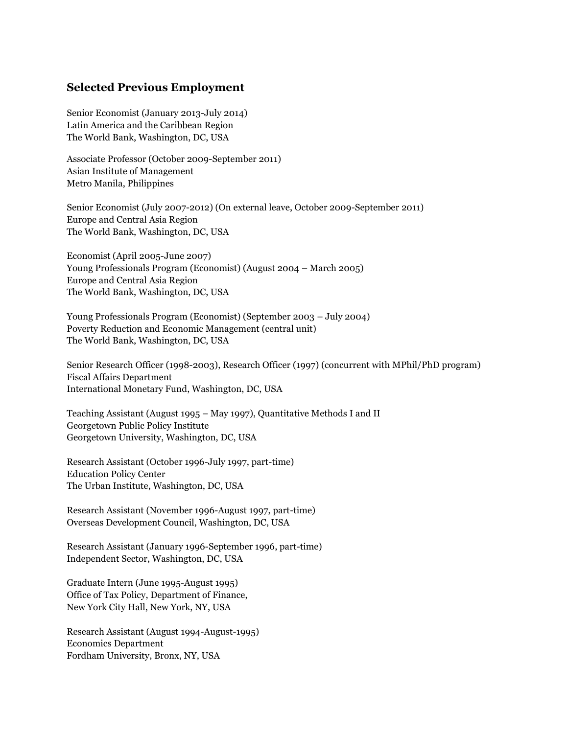### **Selected Previous Employment**

Senior Economist (January 2013-July 2014) Latin America and the Caribbean Region The World Bank, Washington, DC, USA

Associate Professor (October 2009-September 2011) Asian Institute of Management Metro Manila, Philippines

Senior Economist (July 2007-2012) (On external leave, October 2009-September 2011) Europe and Central Asia Region The World Bank, Washington, DC, USA

Economist (April 2005-June 2007) Young Professionals Program (Economist) (August 2004 – March 2005) Europe and Central Asia Region The World Bank, Washington, DC, USA

Young Professionals Program (Economist) (September 2003 – July 2004) Poverty Reduction and Economic Management (central unit) The World Bank, Washington, DC, USA

Senior Research Officer (1998-2003), Research Officer (1997) (concurrent with MPhil/PhD program) Fiscal Affairs Department International Monetary Fund, Washington, DC, USA

Teaching Assistant (August 1995 – May 1997), Quantitative Methods I and II Georgetown Public Policy Institute Georgetown University, Washington, DC, USA

Research Assistant (October 1996-July 1997, part-time) Education Policy Center The Urban Institute, Washington, DC, USA

Research Assistant (November 1996-August 1997, part-time) Overseas Development Council, Washington, DC, USA

Research Assistant (January 1996-September 1996, part-time) Independent Sector, Washington, DC, USA

Graduate Intern (June 1995-August 1995) Office of Tax Policy, Department of Finance, New York City Hall, New York, NY, USA

Research Assistant (August 1994-August-1995) Economics Department Fordham University, Bronx, NY, USA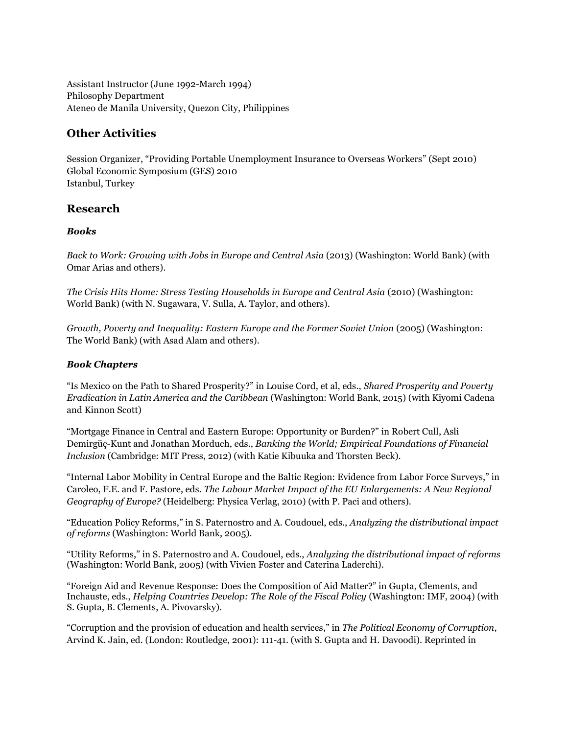Assistant Instructor (June 1992-March 1994) Philosophy Department Ateneo de Manila University, Quezon City, Philippines

# **Other Activities**

Session Organizer, "Providing Portable Unemployment Insurance to Overseas Workers" (Sept 2010) Global Economic Symposium (GES) 2010 Istanbul, Turkey

## **Research**

### *Books*

*Back to Work: Growing with Jobs in Europe and Central Asia* (2013) (Washington: World Bank) (with Omar Arias and others).

*The Crisis Hits Home: Stress Testing Households in Europe and Central Asia* (2010) (Washington: World Bank) (with N. Sugawara, V. Sulla, A. Taylor, and others).

*Growth, Poverty and Inequality: Eastern Europe and the Former Soviet Union* (2005) (Washington: The World Bank) (with Asad Alam and others).

#### *Book Chapters*

"Is Mexico on the Path to Shared Prosperity?" in Louise Cord, et al, eds., *Shared Prosperity and Poverty Eradication in Latin America and the Caribbean* (Washington: World Bank, 2015) (with Kiyomi Cadena and Kinnon Scott)

"Mortgage Finance in Central and Eastern Europe: Opportunity or Burden?" in Robert Cull, Asli Demirgüç-Kunt and Jonathan Morduch, eds., *Banking the World; Empirical Foundations of Financial Inclusion* (Cambridge: MIT Press, 2012) (with Katie Kibuuka and Thorsten Beck).

"Internal Labor Mobility in Central Europe and the Baltic Region: Evidence from Labor Force Surveys," in Caroleo, F.E. and F. Pastore, eds. *The Labour Market Impact of the EU Enlargements: A New Regional Geography of Europe?* (Heidelberg: Physica Verlag, 2010) (with P. Paci and others).

"Education Policy Reforms," in S. Paternostro and A. Coudouel, eds., *Analyzing the distributional impact of reforms* (Washington: World Bank, 2005).

"Utility Reforms," in S. Paternostro and A. Coudouel, eds., *Analyzing the distributional impact of reforms* (Washington: World Bank, 2005) (with Vivien Foster and Caterina Laderchi).

"Foreign Aid and Revenue Response: Does the Composition of Aid Matter?" in Gupta, Clements, and Inchauste, eds., *Helping Countries Develop: The Role of the Fiscal Policy* (Washington: IMF, 2004) (with S. Gupta, B. Clements, A. Pivovarsky).

"Corruption and the provision of education and health services," in *The Political Economy of Corruption*, Arvind K. Jain, ed. (London: Routledge, 2001): 111-41. (with S. Gupta and H. Davoodi). Reprinted in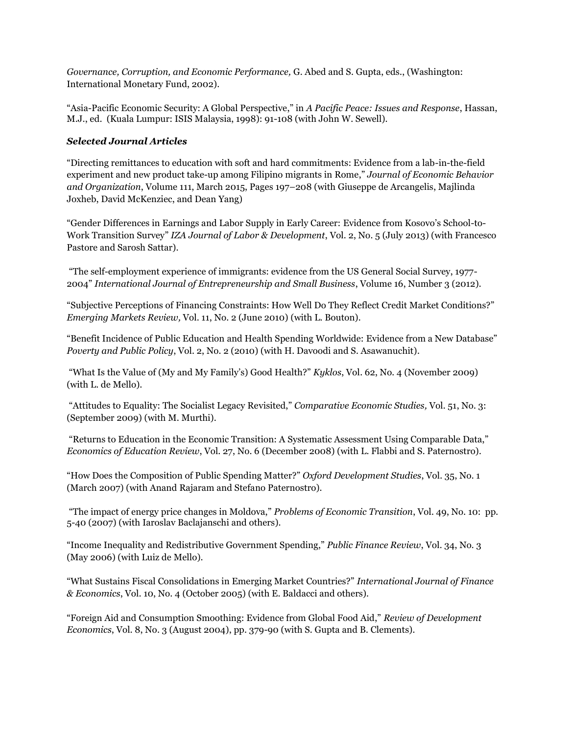*Governance, Corruption, and Economic Performance,* G. Abed and S. Gupta, eds., (Washington: International Monetary Fund, 2002).

"Asia-Pacific Economic Security: A Global Perspective," in *A Pacific Peace: Issues and Response*, Hassan, M.J., ed. (Kuala Lumpur: ISIS Malaysia, 1998): 91-108 (with John W. Sewell).

#### *Selected Journal Articles*

"Directing remittances to education with soft and hard commitments: Evidence from a lab-in-the-field experiment and new product take-up among Filipino migrants in Rome," *Journal of Economic Behavior and Organization*, Volume 111, March 2015, Pages 197–208 (with Giuseppe de Arcangelis, Majlinda Joxheb, David McKenziec, and Dean Yang)

"Gender Differences in Earnings and Labor Supply in Early Career: Evidence from Kosovo's School-to-Work Transition Survey" *IZA Journal of Labor & Development*, Vol. 2, No. 5 (July 2013) (with Francesco Pastore and Sarosh Sattar).

"The self-employment experience of immigrants: evidence from the US General Social Survey, 1977- 2004" *International Journal of Entrepreneurship and Small Business*, Volume 16, Number 3 (2012).

"Subjective Perceptions of Financing Constraints: How Well Do They Reflect Credit Market Conditions?" *Emerging Markets Review,* Vol. 11, No. 2 (June 2010) (with L. Bouton).

"Benefit Incidence of Public Education and Health Spending Worldwide: Evidence from a New Database" *Poverty and Public Policy*, Vol. 2, No. 2 (2010) (with H. Davoodi and S. Asawanuchit).

"What Is the Value of (My and My Family's) Good Health?" *Kyklos*, Vol. 62, No. 4 (November 2009) (with L. de Mello).

"Attitudes to Equality: The Socialist Legacy Revisited," *Comparative Economic Studies,* Vol. 51, No. 3: (September 2009) (with M. Murthi).

"Returns to Education in the Economic Transition: A Systematic Assessment Using Comparable Data," *Economics of Education Review*, Vol. 27, No. 6 (December 2008) (with L. Flabbi and S. Paternostro).

"How Does the Composition of Public Spending Matter?" *Oxford Development Studies*, Vol. 35, No. 1 (March 2007) (with Anand Rajaram and Stefano Paternostro).

"The impact of energy price changes in Moldova," *Problems of Economic Transition*, Vol. 49, No. 10: pp. 5-40 (2007) (with Iaroslav Baclajanschi and others).

"Income Inequality and Redistributive Government Spending," *Public Finance Review*, Vol. 34, No. 3 (May 2006) (with Luiz de Mello).

"What Sustains Fiscal Consolidations in Emerging Market Countries?" *International Journal of Finance & Economics*, Vol. 10, No. 4 (October 2005) (with E. Baldacci and others).

"Foreign Aid and Consumption Smoothing: Evidence from Global Food Aid," *Review of Development Economics*, Vol. 8, No. 3 (August 2004), pp. 379-90 (with S. Gupta and B. Clements).